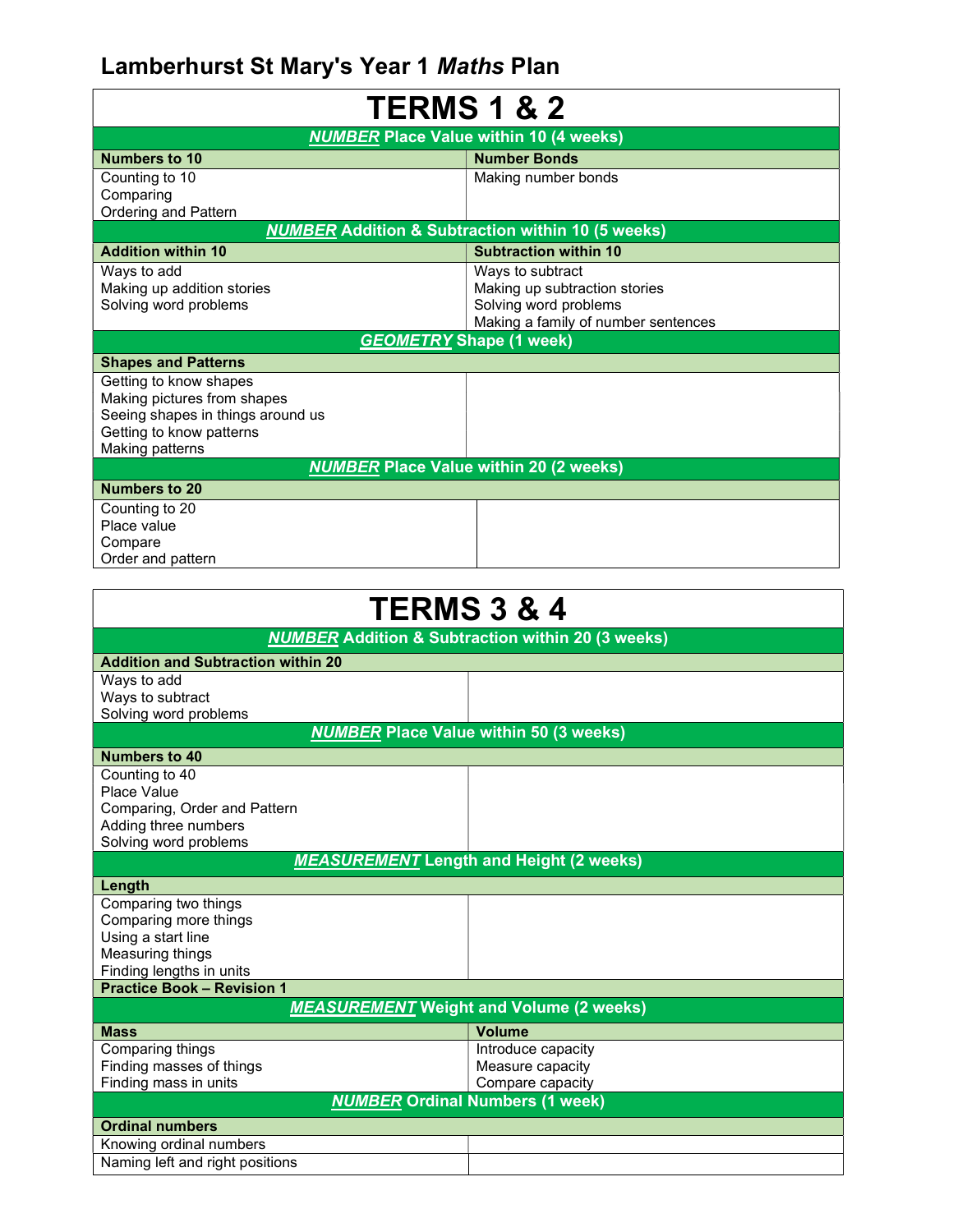## Lamberhurst St Mary's Year 1 Maths Plan

| <b>TERMS 1 &amp; 2</b><br><b>NUMBER Place Value within 10 (4 weeks)</b> |                                     |  |
|-------------------------------------------------------------------------|-------------------------------------|--|
|                                                                         |                                     |  |
| Counting to 10                                                          | Making number bonds                 |  |
| Comparing                                                               |                                     |  |
| Ordering and Pattern                                                    |                                     |  |
| <b>NUMBER Addition &amp; Subtraction within 10 (5 weeks)</b>            |                                     |  |
| <b>Addition within 10</b>                                               | <b>Subtraction within 10</b>        |  |
| Ways to add                                                             | Ways to subtract                    |  |
| Making up addition stories                                              | Making up subtraction stories       |  |
| Solving word problems                                                   | Solving word problems               |  |
|                                                                         | Making a family of number sentences |  |
| <b>GEOMETRY Shape (1 week)</b>                                          |                                     |  |
| <b>Shapes and Patterns</b>                                              |                                     |  |
| Getting to know shapes                                                  |                                     |  |
| Making pictures from shapes                                             |                                     |  |
| Seeing shapes in things around us                                       |                                     |  |
| Getting to know patterns                                                |                                     |  |
| Making patterns                                                         |                                     |  |
| <b>NUMBER Place Value within 20 (2 weeks)</b>                           |                                     |  |
| Numbers to 20                                                           |                                     |  |
| Counting to 20                                                          |                                     |  |
| Place value                                                             |                                     |  |
| Compare                                                                 |                                     |  |
| Order and pattern                                                       |                                     |  |
|                                                                         |                                     |  |
| СDMC ? 9<br>л                                                           |                                     |  |

| <b>TERMS 3 &amp; 4</b>                                        |                                      |  |
|---------------------------------------------------------------|--------------------------------------|--|
| <b>NUMBER</b> Addition & Subtraction within 20 (3 weeks)      |                                      |  |
| <b>Addition and Subtraction within 20</b>                     |                                      |  |
| Ways to add                                                   |                                      |  |
| Ways to subtract                                              |                                      |  |
| Solving word problems                                         |                                      |  |
| <b>NUMBER</b> Place Value within 50 (3 weeks)                 |                                      |  |
| Numbers to 40                                                 |                                      |  |
| Counting to 40                                                |                                      |  |
| Place Value                                                   |                                      |  |
| Comparing, Order and Pattern                                  |                                      |  |
| Adding three numbers                                          |                                      |  |
| Solving word problems                                         |                                      |  |
| <b>MEASUREMENT</b> Length and Height (2 weeks)                |                                      |  |
| Length                                                        |                                      |  |
| Comparing two things                                          |                                      |  |
| Comparing more things                                         |                                      |  |
| Using a start line                                            |                                      |  |
| Measuring things                                              |                                      |  |
| Finding lengths in units<br><b>Practice Book - Revision 1</b> |                                      |  |
| <b>MEASUREMENT</b> Weight and Volume (2 weeks)                |                                      |  |
|                                                               |                                      |  |
| <b>Mass</b>                                                   | <b>Volume</b>                        |  |
| Comparing things                                              | Introduce capacity                   |  |
| Finding masses of things<br>Finding mass in units             | Measure capacity<br>Compare capacity |  |
|                                                               |                                      |  |
| <b>NUMBER Ordinal Numbers (1 week)</b>                        |                                      |  |
| <b>Ordinal numbers</b>                                        |                                      |  |
| Knowing ordinal numbers                                       |                                      |  |
| Naming left and right positions                               |                                      |  |